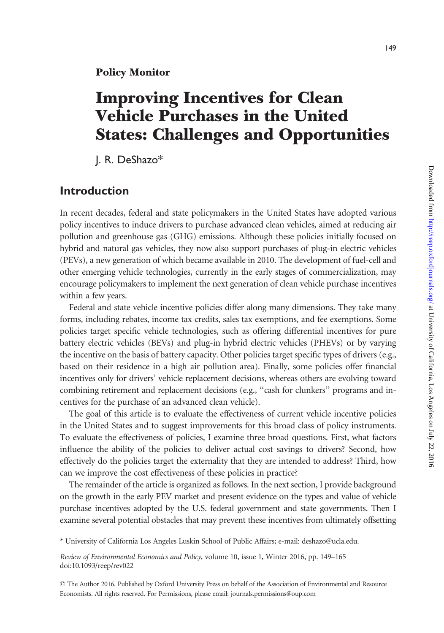# Improving Incentives for Clean Vehicle Purchases in the United States: Challenges and Opportunities

J. R. DeShazo\*

## Introduction

In recent decades, federal and state policymakers in the United States have adopted various policy incentives to induce drivers to purchase advanced clean vehicles, aimed at reducing air pollution and greenhouse gas (GHG) emissions. Although these policies initially focused on hybrid and natural gas vehicles, they now also support purchases of plug-in electric vehicles (PEVs), a new generation of which became available in 2010. The development of fuel-cell and other emerging vehicle technologies, currently in the early stages of commercialization, may encourage policymakers to implement the next generation of clean vehicle purchase incentives within a few years.

Federal and state vehicle incentive policies differ along many dimensions. They take many forms, including rebates, income tax credits, sales tax exemptions, and fee exemptions. Some policies target specific vehicle technologies, such as offering differential incentives for pure battery electric vehicles (BEVs) and plug-in hybrid electric vehicles (PHEVs) or by varying the incentive on the basis of battery capacity. Other policies target specific types of drivers (e.g., based on their residence in a high air pollution area). Finally, some policies offer financial incentives only for drivers' vehicle replacement decisions, whereas others are evolving toward combining retirement and replacement decisions (e.g., "cash for clunkers" programs and incentives for the purchase of an advanced clean vehicle).

The goal of this article is to evaluate the effectiveness of current vehicle incentive policies in the United States and to suggest improvements for this broad class of policy instruments. To evaluate the effectiveness of policies, I examine three broad questions. First, what factors influence the ability of the policies to deliver actual cost savings to drivers? Second, how effectively do the policies target the externality that they are intended to address? Third, how can we improve the cost effectiveness of these policies in practice?

The remainder of the article is organized as follows. In the next section, I provide background on the growth in the early PEV market and present evidence on the types and value of vehicle purchase incentives adopted by the U.S. federal government and state governments. Then I examine several potential obstacles that may prevent these incentives from ultimately offsetting

\* University of California Los Angeles Luskin School of Public Affairs; e-mail: deshazo@ucla.edu.

Review of Environmental Economics and Policy, volume 10, issue 1, Winter 2016, pp. 149–165 doi:10.1093/reep/rev022

- The Author 2016. Published by Oxford University Press on behalf of the Association of Environmental and Resource Economists. All rights reserved. For Permissions, please email: journals.permissions@oup.com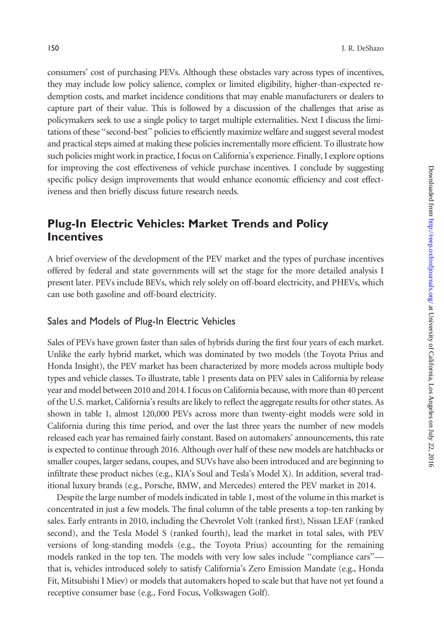consumers' cost of purchasing PEVs. Although these obstacles vary across types of incentives, they may include low policy salience, complex or limited eligibility, higher-than-expected redemption costs, and market incidence conditions that may enable manufacturers or dealers to capture part of their value. This is followed by a discussion of the challenges that arise as policymakers seek to use a single policy to target multiple externalities. Next I discuss the limitations of these "second-best" policies to efficiently maximize welfare and suggest several modest and practical steps aimed at making these policies incrementally more efficient. To illustrate how such policies might work in practice, I focus on California's experience. Finally, I explore options for improving the cost effectiveness of vehicle purchase incentives. I conclude by suggesting specific policy design improvements that would enhance economic efficiency and cost effectiveness and then briefly discuss future research needs.

## Plug-In Electric Vehicles: Market Trends and Policy **Incentives**

A brief overview of the development of the PEV market and the types of purchase incentives offered by federal and state governments will set the stage for the more detailed analysis I present later. PEVs include BEVs, which rely solely on off-board electricity, and PHEVs, which can use both gasoline and off-board electricity.

#### Sales and Models of Plug-In Electric Vehicles

Sales of PEVs have grown faster than sales of hybrids during the first four years of each market. Unlike the early hybrid market, which was dominated by two models (the Toyota Prius and Honda Insight), the PEV market has been characterized by more models across multiple body types and vehicle classes. To illustrate, [table 1](#page-2-0) presents data on PEV sales in California by release year and model between 2010 and 2014. I focus on California because, with more than 40 percent of the U.S. market, California's results are likely to reflect the aggregate results for other states. As shown in [table 1](#page-2-0), almost 120,000 PEVs across more than twenty-eight models were sold in California during this time period, and over the last three years the number of new models released each year has remained fairly constant. Based on automakers' announcements, this rate is expected to continue through 2016. Although over half of these new models are hatchbacks or smaller coupes, larger sedans, coupes, and SUVs have also been introduced and are beginning to infiltrate these product niches (e.g., KIA's Soul and Tesla's Model X). In addition, several traditional luxury brands (e.g., Porsche, BMW, and Mercedes) entered the PEV market in 2014.

Despite the large number of models indicated in [table 1,](#page-2-0) most of the volume in this market is concentrated in just a few models. The final column of the table presents a top-ten ranking by sales. Early entrants in 2010, including the Chevrolet Volt (ranked first), Nissan LEAF (ranked second), and the Tesla Model S (ranked fourth), lead the market in total sales, with PEV versions of long-standing models (e.g., the Toyota Prius) accounting for the remaining models ranked in the top ten. The models with very low sales include "compliance cars" that is, vehicles introduced solely to satisfy California's Zero Emission Mandate (e.g., Honda Fit, Mitsubishi I Miev) or models that automakers hoped to scale but that have not yet found a receptive consumer base (e.g., Ford Focus, Volkswagen Golf).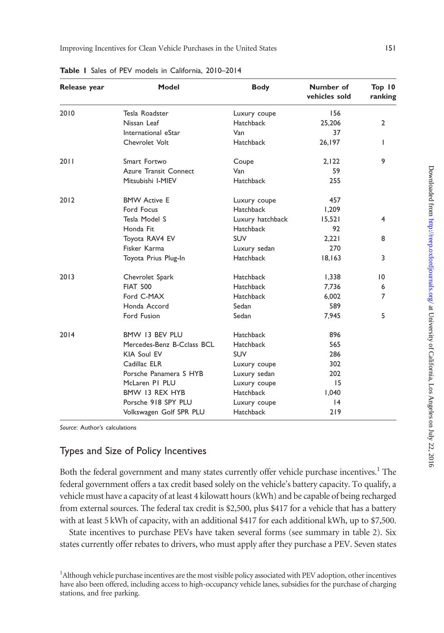| Release year | <b>Model</b>               | <b>Body</b>      | Number of<br>vehicles sold | Top 10<br>ranking |
|--------------|----------------------------|------------------|----------------------------|-------------------|
| 2010         | Tesla Roadster             | Luxury coupe     | 156                        |                   |
|              | Nissan Leaf                | Hatchback        | 25,206                     | $\overline{2}$    |
|              | International eStar        | Van              | 37                         |                   |
|              | Chevrolet Volt             | <b>Hatchback</b> | 26,197                     | T                 |
| 2011         | Smart Fortwo               | Coupe            | 2,122                      | 9                 |
|              | Azure Transit Connect      | Van              | 59                         |                   |
|              | Mitsubishi I-MIEV          | <b>Hatchback</b> | 255                        |                   |
| 2012         | <b>BMW Active E</b>        | Luxury coupe     | 457                        |                   |
|              | Ford Focus                 | Hatchback        | 1,209                      |                   |
|              | Tesla Model S              | Luxury hatchback | 15,521                     | 4                 |
|              | Honda Fit                  | <b>Hatchback</b> | 92                         |                   |
|              | Toyota RAV4 EV             | <b>SUV</b>       | 2,221                      | 8                 |
|              | Fisker Karma               | Luxury sedan     | 270                        |                   |
|              | Toyota Prius Plug-In       | <b>Hatchback</b> | 18,163                     | 3                 |
| 2013         | Chevrolet Spark            | <b>Hatchback</b> | 1,338                      | 10                |
|              | <b>FIAT 500</b>            | <b>Hatchback</b> | 7,736                      | 6                 |
|              | Ford C-MAX                 | <b>Hatchback</b> | 6,002                      | $\overline{7}$    |
|              | Honda Accord               | Sedan            | 589                        |                   |
|              | Ford Fusion                | Sedan            | 7,945                      | 5                 |
| 2014         | BMW 13 BEV PLU             | <b>Hatchback</b> | 896                        |                   |
|              | Mercedes-Benz B-Cclass BCL | <b>Hatchback</b> | 565                        |                   |
|              | KIA Soul EV                | <b>SUV</b>       | 286                        |                   |
|              | Cadillac ELR               | Luxury coupe     | 302                        |                   |
|              | Porsche Panamera S HYB     | Luxury sedan     | 202                        |                   |
|              | McLaren PI PLU             | Luxury coupe     | 15                         |                   |
|              | BMW 13 REX HYB             | <b>Hatchback</b> | 1,040                      |                   |
|              | Porsche 918 SPY PLU        | Luxury coupe     | 4                          |                   |
|              | Volkswagen Golf SPR PLU    | <b>Hatchback</b> | 219                        |                   |

<span id="page-2-0"></span>Table 1 Sales of PEV models in California, 2010–2014

Source: Author's calculations

### Types and Size of Policy Incentives

Both the federal government and many states currently offer vehicle purchase incentives.<sup>1</sup> The federal government offers a tax credit based solely on the vehicle's battery capacity. To qualify, a vehicle must have a capacity of at least 4 kilowatt hours (kWh) and be capable of being recharged from external sources. The federal tax credit is \$2,500, plus \$417 for a vehicle that has a battery with at least 5 kWh of capacity, with an additional \$417 for each additional kWh, up to \$7,500.

State incentives to purchase PEVs have taken several forms (see summary in [table 2\)](#page-3-0). Six states currently offer rebates to drivers, who must apply after they purchase a PEV. Seven states

<sup>&</sup>lt;sup>1</sup>Although vehicle purchase incentives are the most visible policy associated with PEV adoption, other incentives have also been offered, including access to high-occupancy vehicle lanes, subsidies for the purchase of charging stations, and free parking.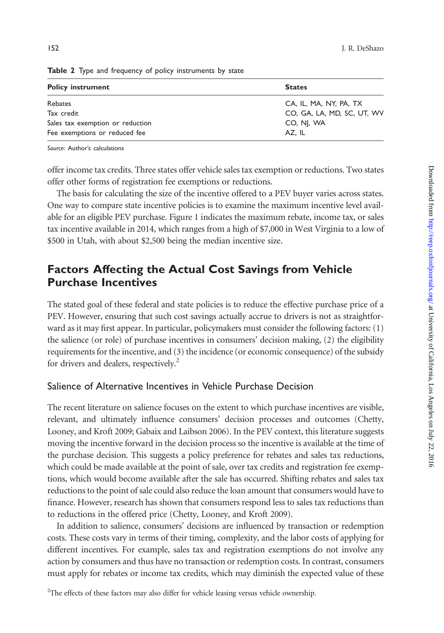| <b>States</b>              |  |  |  |  |
|----------------------------|--|--|--|--|
| CA, IL, MA, NY, PA, TX     |  |  |  |  |
| CO, GA, LA, MD, SC, UT, WV |  |  |  |  |
| CO, NJ, WA                 |  |  |  |  |
| AZ. IL                     |  |  |  |  |
|                            |  |  |  |  |

<span id="page-3-0"></span>Table 2 Type and frequency of policy instruments by state

Source: Author's calculations

offer income tax credits. Three states offer vehicle sales tax exemption or reductions. Two states offer other forms of registration fee exemptions or reductions.

The basis for calculating the size of the incentive offered to a PEV buyer varies across states. One way to compare state incentive policies is to examine the maximum incentive level available for an eligible PEV purchase. [Figure 1](#page-4-0) indicates the maximum rebate, income tax, or sales tax incentive available in 2014, which ranges from a high of \$7,000 in West Virginia to a low of \$500 in Utah, with about \$2,500 being the median incentive size.

# Factors Affecting the Actual Cost Savings from Vehicle Purchase Incentives

The stated goal of these federal and state policies is to reduce the effective purchase price of a PEV. However, ensuring that such cost savings actually accrue to drivers is not as straightforward as it may first appear. In particular, policymakers must consider the following factors: (1) the salience (or role) of purchase incentives in consumers' decision making, (2) the eligibility requirements for the incentive, and (3) the incidence (or economic consequence) of the subsidy for drivers and dealers, respectively.<sup>2</sup>

#### Salience of Alternative Incentives in Vehicle Purchase Decision

The recent literature on salience focuses on the extent to which purchase incentives are visible, relevant, and ultimately influence consumers' decision processes and outcomes ([Chetty,](#page-15-0) [Looney, and Kroft 2009; Gabaix and Laibson 2006](#page-15-0)). In the PEV context, this literature suggests moving the incentive forward in the decision process so the incentive is available at the time of the purchase decision. This suggests a policy preference for rebates and sales tax reductions, which could be made available at the point of sale, over tax credits and registration fee exemptions, which would become available after the sale has occurred. Shifting rebates and sales tax reductions to the point of sale could also reduce the loan amount that consumers would have to finance. However, research has shown that consumers respond less to sales tax reductions than to reductions in the offered price [\(Chetty, Looney, and Kroft 2009\)](#page-15-0).

In addition to salience, consumers' decisions are influenced by transaction or redemption costs. These costs vary in terms of their timing, complexity, and the labor costs of applying for different incentives. For example, sales tax and registration exemptions do not involve any action by consumers and thus have no transaction or redemption costs. In contrast, consumers must apply for rebates or income tax credits, which may diminish the expected value of these

<sup>2</sup>The effects of these factors may also differ for vehicle leasing versus vehicle ownership.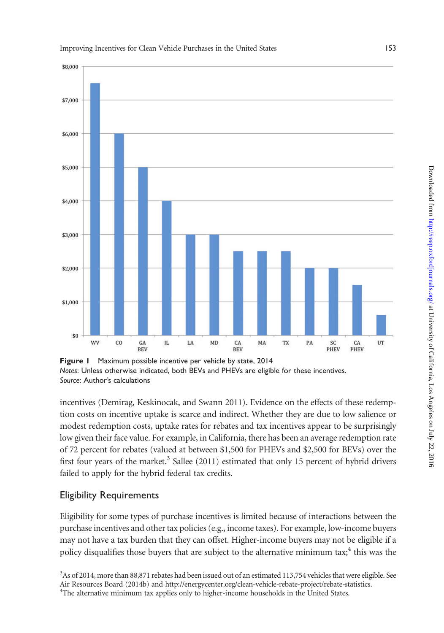

<span id="page-4-0"></span>Improving Incentives for Clean Vehicle Purchases in the United States 153

incentives [\(Demirag, Keskinocak, and Swann 2011](#page-15-0)). Evidence on the effects of these redemption costs on incentive uptake is scarce and indirect. Whether they are due to low salience or modest redemption costs, uptake rates for rebates and tax incentives appear to be surprisingly low given their face value. For example, in California, there has been an average redemption rate of 72 percent for rebates (valued at between \$1,500 for PHEVs and \$2,500 for BEVs) over the first four years of the market. $3$  [Sallee \(2011\)](#page-15-0) estimated that only 15 percent of hybrid drivers failed to apply for the hybrid federal tax credits.

### Eligibility Requirements

Eligibility for some types of purchase incentives is limited because of interactions between the purchase incentives and other tax policies (e.g., income taxes). For example, low-income buyers may not have a tax burden that they can offset. Higher-income buyers may not be eligible if a policy disqualifies those buyers that are subject to the alternative minimum tax;<sup>4</sup> this was the

Notes: Unless otherwise indicated, both BEVs and PHEVs are eligible for these incentives. Source: Author's calculations

<sup>&</sup>lt;sup>3</sup>As of 2014, more than 88,871 rebates had been issued out of an estimated 113,754 vehicles that were eligible. See [Air Resources Board \(2014b\)](#page-14-0) and<http://energycenter.org/clean-vehicle-rebate-project/rebate-statistics>. <sup>4</sup> <sup>4</sup>The alternative minimum tax applies only to higher-income households in the United States.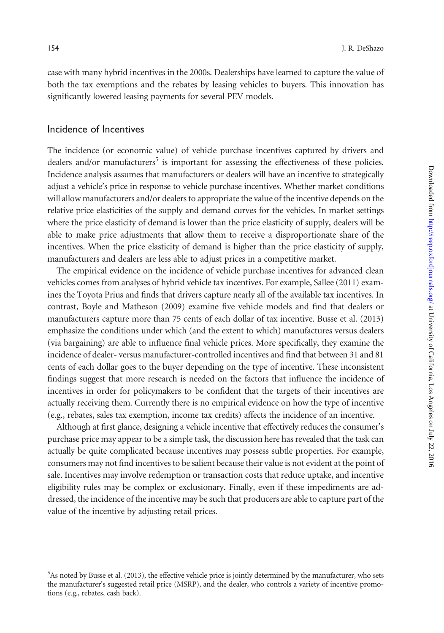case with many hybrid incentives in the 2000s. Dealerships have learned to capture the value of both the tax exemptions and the rebates by leasing vehicles to buyers. This innovation has significantly lowered leasing payments for several PEV models.

#### Incidence of Incentives

The incidence (or economic value) of vehicle purchase incentives captured by drivers and dealers and/or manufacturers<sup>5</sup> is important for assessing the effectiveness of these policies. Incidence analysis assumes that manufacturers or dealers will have an incentive to strategically adjust a vehicle's price in response to vehicle purchase incentives. Whether market conditions will allow manufacturers and/or dealers to appropriate the value of the incentive depends on the relative price elasticities of the supply and demand curves for the vehicles. In market settings where the price elasticity of demand is lower than the price elasticity of supply, dealers will be able to make price adjustments that allow them to receive a disproportionate share of the incentives. When the price elasticity of demand is higher than the price elasticity of supply, manufacturers and dealers are less able to adjust prices in a competitive market.

The empirical evidence on the incidence of vehicle purchase incentives for advanced clean vehicles comes from analyses of hybrid vehicle tax incentives. For example, [Sallee \(2011\)](#page-15-0) examines the Toyota Prius and finds that drivers capture nearly all of the available tax incentives. In contrast, [Boyle and Matheson \(2009\)](#page-14-0) examine five vehicle models and find that dealers or manufacturers capture more than 75 cents of each dollar of tax incentive. [Busse et al. \(2013\)](#page-14-0) emphasize the conditions under which (and the extent to which) manufactures versus dealers (via bargaining) are able to influence final vehicle prices. More specifically, they examine the incidence of dealer- versus manufacturer-controlled incentives and find that between 31 and 81 cents of each dollar goes to the buyer depending on the type of incentive. These inconsistent findings suggest that more research is needed on the factors that influence the incidence of incentives in order for policymakers to be confident that the targets of their incentives are actually receiving them. Currently there is no empirical evidence on how the type of incentive (e.g., rebates, sales tax exemption, income tax credits) affects the incidence of an incentive.

Although at first glance, designing a vehicle incentive that effectively reduces the consumer's purchase price may appear to be a simple task, the discussion here has revealed that the task can actually be quite complicated because incentives may possess subtle properties. For example, consumers may not find incentives to be salient because their value is not evident at the point of sale. Incentives may involve redemption or transaction costs that reduce uptake, and incentive eligibility rules may be complex or exclusionary. Finally, even if these impediments are addressed, the incidence of the incentive may be such that producers are able to capture part of the value of the incentive by adjusting retail prices.

<sup>&</sup>lt;sup>5</sup>As noted by [Busse et al. \(2013\)](#page-14-0), the effective vehicle price is jointly determined by the manufacturer, who sets the manufacturer's suggested retail price (MSRP), and the dealer, who controls a variety of incentive promotions (e.g., rebates, cash back).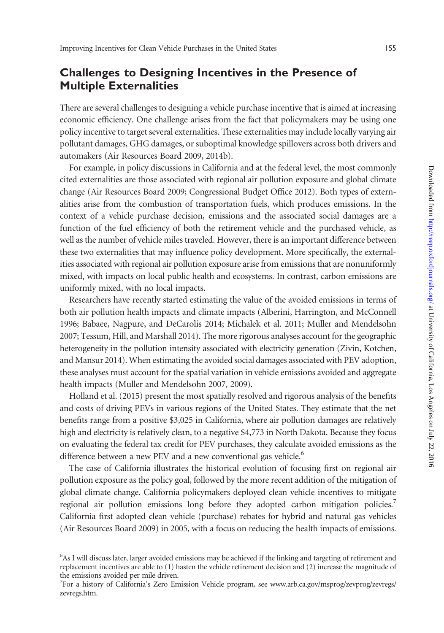# Challenges to Designing Incentives in the Presence of Multiple Externalities

There are several challenges to designing a vehicle purchase incentive that is aimed at increasing economic efficiency. One challenge arises from the fact that policymakers may be using one policy incentive to target several externalities. These externalities may include locally varying air pollutant damages, GHG damages, or suboptimal knowledge spillovers across both drivers and automakers [\(Air Resources Board 2009, 2014b\)](#page-14-0).

For example, in policy discussions in California and at the federal level, the most commonly cited externalities are those associated with regional air pollution exposure and global climate change [\(Air Resources Board 2009;](#page-14-0) [Congressional Budget Office 2012\)](#page-15-0). Both types of externalities arise from the combustion of transportation fuels, which produces emissions. In the context of a vehicle purchase decision, emissions and the associated social damages are a function of the fuel efficiency of both the retirement vehicle and the purchased vehicle, as well as the number of vehicle miles traveled. However, there is an important difference between these two externalities that may influence policy development. More specifically, the externalities associated with regional air pollution exposure arise from emissions that are nonuniformly mixed, with impacts on local public health and ecosystems. In contrast, carbon emissions are uniformly mixed, with no local impacts.

Researchers have recently started estimating the value of the avoided emissions in terms of both air pollution health impacts and climate impacts ([Alberini, Harrington, and McConnell](#page-14-0) [1996](#page-14-0); [Babaee, Nagpure, and DeCarolis 2014](#page-14-0); [Michalek et al. 2011](#page-15-0); [Muller and Mendelsohn](#page-15-0) [2007](#page-15-0); [Tessum, Hill, and Marshall 2014](#page-15-0)). The more rigorous analyses account for the geographic heterogeneity in the pollution intensity associated with electricity generation ([Zivin, Kotchen,](#page-16-0) [and Mansur 2014\)](#page-16-0). When estimating the avoided social damages associated with PEV adoption, these analyses must account for the spatial variation in vehicle emissions avoided and aggregate health impacts ([Muller and Mendelsohn 2007](#page-15-0), [2009](#page-15-0)).

[Holland et al. \(2015\)](#page-15-0) present the most spatially resolved and rigorous analysis of the benefits and costs of driving PEVs in various regions of the United States. They estimate that the net benefits range from a positive \$3,025 in California, where air pollution damages are relatively high and electricity is relatively clean, to a negative \$4,773 in North Dakota. Because they focus on evaluating the federal tax credit for PEV purchases, they calculate avoided emissions as the difference between a new PEV and a new conventional gas vehicle.<sup>6</sup>

The case of California illustrates the historical evolution of focusing first on regional air pollution exposure as the policy goal, followed by the more recent addition of the mitigation of global climate change. California policymakers deployed clean vehicle incentives to mitigate regional air pollution emissions long before they adopted carbon mitigation policies.<sup>7</sup> California first adopted clean vehicle (purchase) rebates for hybrid and natural gas vehicles ([Air Resources Board 2009\)](#page-14-0) in 2005, with a focus on reducing the health impacts of emissions.

<sup>6</sup> As I will discuss later, larger avoided emissions may be achieved if the linking and targeting of retirement and replacement incentives are able to (1) hasten the vehicle retirement decision and (2) increase the magnitude of the emissions avoided per mile driven.

<sup>&</sup>lt;sup>7</sup>For a history of California's Zero Emission Vehicle program, see [www.arb.ca.gov/msprog/zevprog/zevregs/](www.arb.ca.gov/msprog/zevprog/zevregs/zevregs.htm) [zevregs.htm](www.arb.ca.gov/msprog/zevprog/zevregs/zevregs.htm).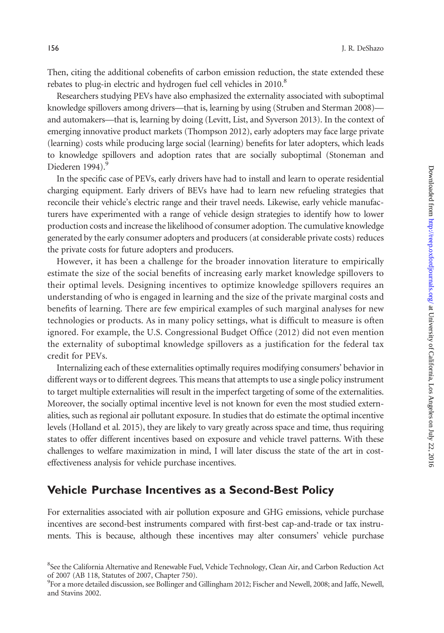Then, citing the additional cobenefits of carbon emission reduction, the state extended these rebates to plug-in electric and hydrogen fuel cell vehicles in 2010.<sup>8</sup>

Researchers studying PEVs have also emphasized the externality associated with suboptimal knowledge spillovers among drivers—that is, learning by using [\(Struben and Sterman 2008](#page-15-0)) and automakers—that is, learning by doing ([Levitt, List, and Syverson 2013](#page-15-0)). In the context of emerging innovative product markets [\(Thompson 2012](#page-16-0)), early adopters may face large private (learning) costs while producing large social (learning) benefits for later adopters, which leads to knowledge spillovers and adoption rates that are socially suboptimal ([Stoneman and](#page-15-0) [Diederen 1994\)](#page-15-0).<sup>9</sup>

In the specific case of PEVs, early drivers have had to install and learn to operate residential charging equipment. Early drivers of BEVs have had to learn new refueling strategies that reconcile their vehicle's electric range and their travel needs. Likewise, early vehicle manufacturers have experimented with a range of vehicle design strategies to identify how to lower production costs and increase the likelihood of consumer adoption. The cumulative knowledge generated by the early consumer adopters and producers (at considerable private costs) reduces the private costs for future adopters and producers.

However, it has been a challenge for the broader innovation literature to empirically estimate the size of the social benefits of increasing early market knowledge spillovers to their optimal levels. Designing incentives to optimize knowledge spillovers requires an understanding of who is engaged in learning and the size of the private marginal costs and benefits of learning. There are few empirical examples of such marginal analyses for new technologies or products. As in many policy settings, what is difficult to measure is often ignored. For example, the U.S. [Congressional Budget Office \(2012\)](#page-15-0) did not even mention the externality of suboptimal knowledge spillovers as a justification for the federal tax credit for PEVs.

Internalizing each of these externalities optimally requires modifying consumers' behavior in different ways or to different degrees. This means that attempts to use a single policy instrument to target multiple externalities will result in the imperfect targeting of some of the externalities. Moreover, the socially optimal incentive level is not known for even the most studied externalities, such as regional air pollutant exposure. In studies that do estimate the optimal incentive levels ([Holland et al. 2015\)](#page-15-0), they are likely to vary greatly across space and time, thus requiring states to offer different incentives based on exposure and vehicle travel patterns. With these challenges to welfare maximization in mind, I will later discuss the state of the art in costeffectiveness analysis for vehicle purchase incentives.

### Vehicle Purchase Incentives as a Second-Best Policy

For externalities associated with air pollution exposure and GHG emissions, vehicle purchase incentives are second-best instruments compared with first-best cap-and-trade or tax instruments. This is because, although these incentives may alter consumers' vehicle purchase

<sup>&</sup>lt;sup>8</sup>See the California Alternative and Renewable Fuel, Vehicle Technology, Clean Air, and Carbon Reduction Act of 2007 (AB 118, Statutes of 2007, Chapter 750).

<sup>9</sup> For a more detailed discussion, see [Bollinger and Gillingham 2012](#page-14-0); [Fischer and Newell, 2008;](#page-15-0) and [Jaffe, Newell,](#page-15-0) [and Stavins 2002](#page-15-0).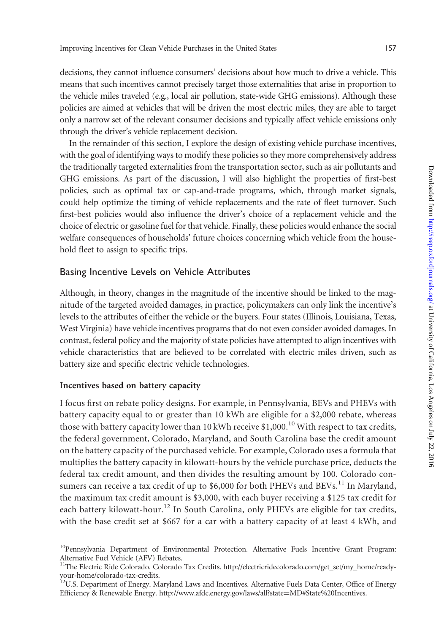decisions, they cannot influence consumers' decisions about how much to drive a vehicle. This means that such incentives cannot precisely target those externalities that arise in proportion to the vehicle miles traveled (e.g., local air pollution, state-wide GHG emissions). Although these policies are aimed at vehicles that will be driven the most electric miles, they are able to target only a narrow set of the relevant consumer decisions and typically affect vehicle emissions only through the driver's vehicle replacement decision.

In the remainder of this section, I explore the design of existing vehicle purchase incentives, with the goal of identifying ways to modify these policies so they more comprehensively address the traditionally targeted externalities from the transportation sector, such as air pollutants and GHG emissions. As part of the discussion, I will also highlight the properties of first-best policies, such as optimal tax or cap-and-trade programs, which, through market signals, could help optimize the timing of vehicle replacements and the rate of fleet turnover. Such first-best policies would also influence the driver's choice of a replacement vehicle and the choice of electric or gasoline fuel for that vehicle. Finally, these policies would enhance the social welfare consequences of households' future choices concerning which vehicle from the household fleet to assign to specific trips.

#### Basing Incentive Levels on Vehicle Attributes

Although, in theory, changes in the magnitude of the incentive should be linked to the magnitude of the targeted avoided damages, in practice, policymakers can only link the incentive's levels to the attributes of either the vehicle or the buyers. Four states (Illinois, Louisiana, Texas, West Virginia) have vehicle incentives programs that do not even consider avoided damages. In contrast, federal policy and the majority of state policies have attempted to align incentives with vehicle characteristics that are believed to be correlated with electric miles driven, such as battery size and specific electric vehicle technologies.

#### Incentives based on battery capacity

I focus first on rebate policy designs. For example, in Pennsylvania, BEVs and PHEVs with battery capacity equal to or greater than 10 kWh are eligible for a \$2,000 rebate, whereas those with battery capacity lower than 10 kWh receive  $$1,000$ .<sup>10</sup> With respect to tax credits, the federal government, Colorado, Maryland, and South Carolina base the credit amount on the battery capacity of the purchased vehicle. For example, Colorado uses a formula that multiplies the battery capacity in kilowatt-hours by the vehicle purchase price, deducts the federal tax credit amount, and then divides the resulting amount by 100. Colorado consumers can receive a tax credit of up to \$6,000 for both PHEVs and BEVs.<sup>11</sup> In Maryland, the maximum tax credit amount is \$3,000, with each buyer receiving a \$125 tax credit for each battery kilowatt-hour.<sup>12</sup> In South Carolina, only PHEVs are eligible for tax credits, with the base credit set at \$667 for a car with a battery capacity of at least 4 kWh, and

<sup>&</sup>lt;sup>10</sup>Pennsylvania Department of Environmental Protection. Alternative Fuels Incentive Grant Program: Alternative Fuel Vehicle (AFV) Rebates.

<sup>&</sup>lt;sup>11</sup>The Electric Ride Colorado. Colorado Tax Credits. [http://electricridecolorado.com/get\\_set/my\\_home/ready](http://electricridecolorado.com/get_set/my_home/ready-your-home/colorado-tax-credits)[your-home/colorado-tax-credits.](http://electricridecolorado.com/get_set/my_home/ready-your-home/colorado-tax-credits)

 $12$ U.S. Department of Energy. Maryland Laws and Incentives. Alternative Fuels Data Center, Office of Energy Efficiency & Renewable Energy. [http://www.afdc.energy.gov/laws/all?state](www.afdc.energy.gov/laws/all?state=MD#State%20Incentives)=[MD#State%20Incentives](www.afdc.energy.gov/laws/all?state=MD#State%20Incentives).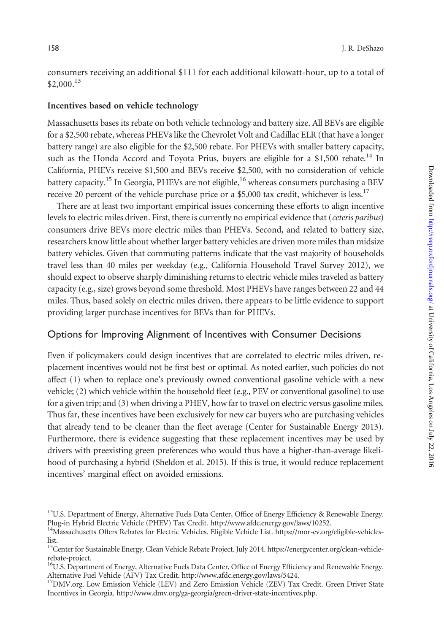consumers receiving an additional \$111 for each additional kilowatt-hour, up to a total of  $$2,000.<sup>13</sup>$ 

#### Incentives based on vehicle technology

Massachusetts bases its rebate on both vehicle technology and battery size. All BEVs are eligible for a \$2,500 rebate, whereas PHEVs like the Chevrolet Volt and Cadillac ELR (that have a longer battery range) are also eligible for the \$2,500 rebate. For PHEVs with smaller battery capacity, such as the Honda Accord and Toyota Prius, buyers are eligible for a \$1,500 rebate.<sup>14</sup> In California, PHEVs receive \$1,500 and BEVs receive \$2,500, with no consideration of vehicle battery capacity.<sup>15</sup> In Georgia, PHEVs are not eligible,<sup>16</sup> whereas consumers purchasing a BEV receive 20 percent of the vehicle purchase price or a \$5,000 tax credit, whichever is less.<sup>17</sup>

There are at least two important empirical issues concerning these efforts to align incentive levels to electric miles driven. First, there is currently no empirical evidence that (ceteris paribus) consumers drive BEVs more electric miles than PHEVs. Second, and related to battery size, researchers know little about whether larger battery vehicles are driven more miles than midsize battery vehicles. Given that commuting patterns indicate that the vast majority of households travel less than 40 miles per weekday (e.g., California Household Travel Survey 2012), we should expect to observe sharply diminishing returns to electric vehicle miles traveled as battery capacity (e.g., size) grows beyond some threshold. Most PHEVs have ranges between 22 and 44 miles. Thus, based solely on electric miles driven, there appears to be little evidence to support providing larger purchase incentives for BEVs than for PHEVs.

#### Options for Improving Alignment of Incentives with Consumer Decisions

Even if policymakers could design incentives that are correlated to electric miles driven, replacement incentives would not be first best or optimal. As noted earlier, such policies do not affect (1) when to replace one's previously owned conventional gasoline vehicle with a new vehicle; (2) which vehicle within the household fleet (e.g., PEV or conventional gasoline) to use for a given trip; and (3) when driving a PHEV, how far to travel on electric versus gasoline miles. Thus far, these incentives have been exclusively for new car buyers who are purchasing vehicles that already tend to be cleaner than the fleet average ([Center for Sustainable Energy 2013](#page-14-0)). Furthermore, there is evidence suggesting that these replacement incentives may be used by drivers with preexisting green preferences who would thus have a higher-than-average likelihood of purchasing a hybrid [\(Sheldon et al. 2015](#page-15-0)). If this is true, it would reduce replacement incentives' marginal effect on avoided emissions.

<sup>&</sup>lt;sup>13</sup>U.S. Department of Energy, Alternative Fuels Data Center, Office of Energy Efficiency & Renewable Energy. Plug-in Hybrid Electric Vehicle (PHEV) Tax Credit. [http://www.afdc.energy.gov/laws/10252.](www.afdc.energy.gov/laws/10252)

<sup>&</sup>lt;sup>14</sup>Massachusetts Offers Rebates for Electric Vehicles. Eligible Vehicle List. [https://mor-ev.org/eligible-vehicles](https://mor-ev.org/eligible-vehicles-list)[list.](https://mor-ev.org/eligible-vehicles-list)

<sup>&</sup>lt;sup>15</sup>Center for Sustainable Energy. Clean Vehicle Rebate Project. July 2014. [https://energycenter.org/clean-vehicle](https://energycenter.org/clean-vehicle-rebate-project)[rebate-project](https://energycenter.org/clean-vehicle-rebate-project).

<sup>&</sup>lt;sup>16</sup>U.S. Department of Energy, Alternative Fuels Data Center, Office of Energy Efficiency and Renewable Energy. Alternative Fuel Vehicle (AFV) Tax Credit. [http://www.afdc.energy.gov/laws/5424](www.afdc.energy.gov/laws/5424).<br><sup>17</sup>DMV.org. Low Emission Vehicle (LEV) and Zero Emission Vehicle (ZEV) Tax Credit. Green Driver State

Incentives in Georgia. [http://www.dmv.org/ga-georgia/green-driver-state-incentives.php.](www.dmv.org/ga-georgia/green-driver-state-incentives.php)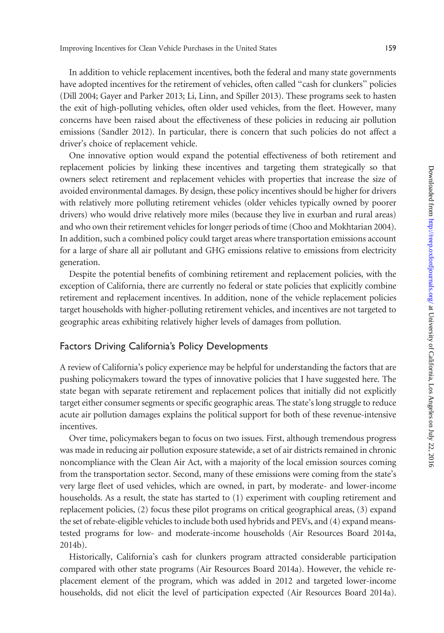In addition to vehicle replacement incentives, both the federal and many state governments have adopted incentives for the retirement of vehicles, often called "cash for clunkers" policies ([Dill 2004](#page-15-0); [Gayer and Parker 2013; Li, Linn, and Spiller 2013](#page-15-0)). These programs seek to hasten the exit of high-polluting vehicles, often older used vehicles, from the fleet. However, many concerns have been raised about the effectiveness of these policies in reducing air pollution emissions [\(Sandler 2012](#page-15-0)). In particular, there is concern that such policies do not affect a driver's choice of replacement vehicle.

One innovative option would expand the potential effectiveness of both retirement and replacement policies by linking these incentives and targeting them strategically so that owners select retirement and replacement vehicles with properties that increase the size of avoided environmental damages. By design, these policy incentives should be higher for drivers with relatively more polluting retirement vehicles (older vehicles typically owned by poorer drivers) who would drive relatively more miles (because they live in exurban and rural areas) and who own their retirement vehicles for longer periods of time [\(Choo and Mokhtarian 2004\)](#page-15-0). In addition, such a combined policy could target areas where transportation emissions account for a large of share all air pollutant and GHG emissions relative to emissions from electricity generation.

Despite the potential benefits of combining retirement and replacement policies, with the exception of California, there are currently no federal or state policies that explicitly combine retirement and replacement incentives. In addition, none of the vehicle replacement policies target households with higher-polluting retirement vehicles, and incentives are not targeted to geographic areas exhibiting relatively higher levels of damages from pollution.

#### Factors Driving California's Policy Developments

A review of California's policy experience may be helpful for understanding the factors that are pushing policymakers toward the types of innovative policies that I have suggested here. The state began with separate retirement and replacement polices that initially did not explicitly target either consumer segments or specific geographic areas. The state's long struggle to reduce acute air pollution damages explains the political support for both of these revenue-intensive incentives.

Over time, policymakers began to focus on two issues. First, although tremendous progress was made in reducing air pollution exposure statewide, a set of air districts remained in chronic noncompliance with the Clean Air Act, with a majority of the local emission sources coming from the transportation sector. Second, many of these emissions were coming from the state's very large fleet of used vehicles, which are owned, in part, by moderate- and lower-income households. As a result, the state has started to (1) experiment with coupling retirement and replacement policies, (2) focus these pilot programs on critical geographical areas, (3) expand the set of rebate-eligible vehicles to include both used hybrids and PEVs, and (4) expand meanstested programs for low- and moderate-income households ([Air Resources Board 2014a](#page-14-0), [2014b\)](#page-14-0).

Historically, California's cash for clunkers program attracted considerable participation compared with other state programs [\(Air Resources Board 2014a\)](#page-14-0). However, the vehicle replacement element of the program, which was added in 2012 and targeted lower-income households, did not elicit the level of participation expected [\(Air Resources Board 2014a\)](#page-14-0).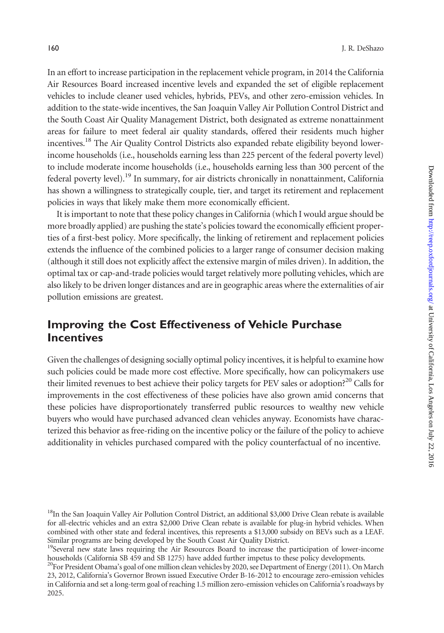In an effort to increase participation in the replacement vehicle program, in 2014 the California Air Resources Board increased incentive levels and expanded the set of eligible replacement vehicles to include cleaner used vehicles, hybrids, PEVs, and other zero-emission vehicles. In addition to the state-wide incentives, the San Joaquin Valley Air Pollution Control District and the South Coast Air Quality Management District, both designated as extreme nonattainment areas for failure to meet federal air quality standards, offered their residents much higher incentives.<sup>18</sup> The Air Quality Control Districts also expanded rebate eligibility beyond lowerincome households (i.e., households earning less than 225 percent of the federal poverty level) to include moderate income households (i.e., households earning less than 300 percent of the federal poverty level).<sup>19</sup> In summary, for air districts chronically in nonattainment, California has shown a willingness to strategically couple, tier, and target its retirement and replacement policies in ways that likely make them more economically efficient.

It is important to note that these policy changes in California (which I would argue should be more broadly applied) are pushing the state's policies toward the economically efficient properties of a first-best policy. More specifically, the linking of retirement and replacement policies extends the influence of the combined policies to a larger range of consumer decision making (although it still does not explicitly affect the extensive margin of miles driven). In addition, the optimal tax or cap-and-trade policies would target relatively more polluting vehicles, which are also likely to be driven longer distances and are in geographic areas where the externalities of air pollution emissions are greatest.

# Improving the Cost Effectiveness of Vehicle Purchase **Incentives**

Given the challenges of designing socially optimal policy incentives, it is helpful to examine how such policies could be made more cost effective. More specifically, how can policymakers use their limited revenues to best achieve their policy targets for PEV sales or adoption?<sup>20</sup> Calls for improvements in the cost effectiveness of these policies have also grown amid concerns that these policies have disproportionately transferred public resources to wealthy new vehicle buyers who would have purchased advanced clean vehicles anyway. Economists have characterized this behavior as free-riding on the incentive policy or the failure of the policy to achieve additionality in vehicles purchased compared with the policy counterfactual of no incentive.

<sup>&</sup>lt;sup>18</sup>In the San Joaquin Valley Air Pollution Control District, an additional \$3,000 Drive Clean rebate is available for all-electric vehicles and an extra \$2,000 Drive Clean rebate is available for plug-in hybrid vehicles. When combined with other state and federal incentives, this represents a \$13,000 subsidy on BEVs such as a LEAF. Similar programs are being developed by the South Coast Air Quality District.

 $19$ Several new state laws requiring the Air Resources Board to increase the participation of lower-income households (California SB 459 and SB 1275) have added further impetus to these policy developments.

<sup>&</sup>lt;sup>20</sup>For President Obama's goal of one million clean vehicles by 2020, see [Department of Energy \(2011\).](#page-15-0) On March 23, 2012, California's Governor Brown issued Executive Order B-16-2012 to encourage zero-emission vehicles in California and set a long-term goal of reaching 1.5 million zero-emission vehicles on California's roadways by 2025.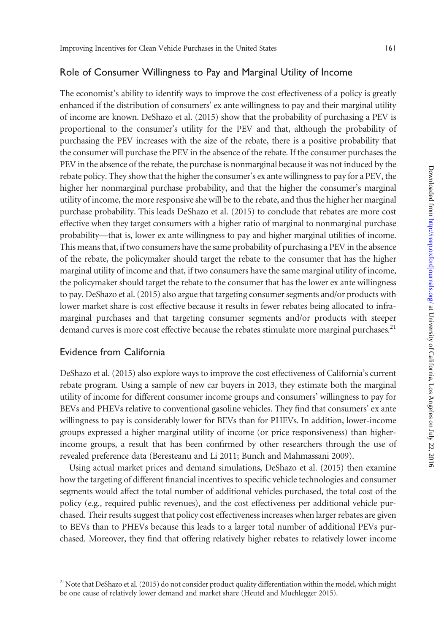#### Role of Consumer Willingness to Pay and Marginal Utility of Income

The economist's ability to identify ways to improve the cost effectiveness of a policy is greatly enhanced if the distribution of consumers' ex ante willingness to pay and their marginal utility of income are known. [DeShazo et al. \(2015\)](#page-15-0) show that the probability of purchasing a PEV is proportional to the consumer's utility for the PEV and that, although the probability of purchasing the PEV increases with the size of the rebate, there is a positive probability that the consumer will purchase the PEV in the absence of the rebate. If the consumer purchases the PEV in the absence of the rebate, the purchase is nonmarginal because it was not induced by the rebate policy. They show that the higher the consumer's ex ante willingness to pay for a PEV, the higher her nonmarginal purchase probability, and that the higher the consumer's marginal utility of income, the more responsive she will be to the rebate, and thus the higher her marginal purchase probability. This leads [DeShazo et al. \(2015\)](#page-15-0) to conclude that rebates are more cost effective when they target consumers with a higher ratio of marginal to nonmarginal purchase probability—that is, lower ex ante willingness to pay and higher marginal utilities of income. This means that, if two consumers have the same probability of purchasing a PEV in the absence of the rebate, the policymaker should target the rebate to the consumer that has the higher marginal utility of income and that, if two consumers have the same marginal utility of income, the policymaker should target the rebate to the consumer that has the lower ex ante willingness to pay. [DeShazo et al. \(2015\)](#page-15-0) also argue that targeting consumer segments and/or products with lower market share is cost effective because it results in fewer rebates being allocated to inframarginal purchases and that targeting consumer segments and/or products with steeper demand curves is more cost effective because the rebates stimulate more marginal purchases.<sup>21</sup>

#### Evidence from California

[DeShazo et al. \(2015\)](#page-15-0) also explore ways to improve the cost effectiveness of California's current rebate program. Using a sample of new car buyers in 2013, they estimate both the marginal utility of income for different consumer income groups and consumers' willingness to pay for BEVs and PHEVs relative to conventional gasoline vehicles. They find that consumers' ex ante willingness to pay is considerably lower for BEVs than for PHEVs. In addition, lower-income groups expressed a higher marginal utility of income (or price responsiveness) than higherincome groups, a result that has been confirmed by other researchers through the use of revealed preference data [\(Beresteanu and Li 2011](#page-14-0); [Bunch and Mahmassani 2009\)](#page-14-0).

Using actual market prices and demand simulations, [DeShazo et al. \(2015\)](#page-15-0) then examine how the targeting of different financial incentives to specific vehicle technologies and consumer segments would affect the total number of additional vehicles purchased, the total cost of the policy (e.g., required public revenues), and the cost effectiveness per additional vehicle purchased. Their results suggest that policy cost effectiveness increases when larger rebates are given to BEVs than to PHEVs because this leads to a larger total number of additional PEVs purchased. Moreover, they find that offering relatively higher rebates to relatively lower income

<sup>&</sup>lt;sup>21</sup>Note that [DeShazo et al. \(2015\)](#page-15-0) do not consider product quality differentiation within the model, which might be one cause of relatively lower demand and market share [\(Heutel and Muehlegger 2015](#page-15-0)).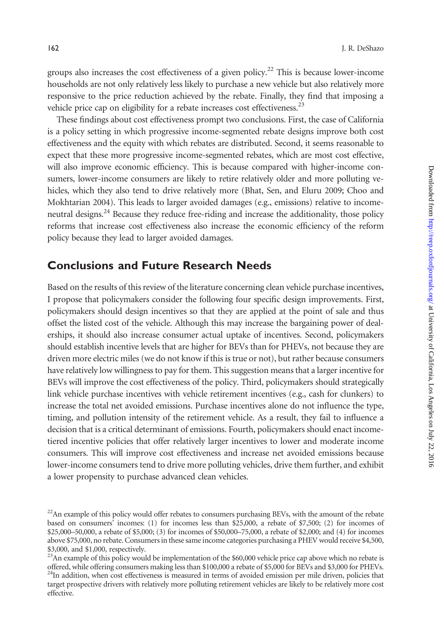groups also increases the cost effectiveness of a given policy.<sup>22</sup> This is because lower-income households are not only relatively less likely to purchase a new vehicle but also relatively more responsive to the price reduction achieved by the rebate. Finally, they find that imposing a vehicle price cap on eligibility for a rebate increases cost effectiveness.<sup>23</sup>

These findings about cost effectiveness prompt two conclusions. First, the case of California is a policy setting in which progressive income-segmented rebate designs improve both cost effectiveness and the equity with which rebates are distributed. Second, it seems reasonable to expect that these more progressive income-segmented rebates, which are most cost effective, will also improve economic efficiency. This is because compared with higher-income consumers, lower-income consumers are likely to retire relatively older and more polluting vehicles, which they also tend to drive relatively more [\(Bhat, Sen, and Eluru 2009;](#page-14-0) [Choo and](#page-15-0) [Mokhtarian 2004](#page-15-0)). This leads to larger avoided damages (e.g., emissions) relative to incomeneutral designs.<sup>24</sup> Because they reduce free-riding and increase the additionality, those policy reforms that increase cost effectiveness also increase the economic efficiency of the reform policy because they lead to larger avoided damages.

### Conclusions and Future Research Needs

Based on the results of this review of the literature concerning clean vehicle purchase incentives, I propose that policymakers consider the following four specific design improvements. First, policymakers should design incentives so that they are applied at the point of sale and thus offset the listed cost of the vehicle. Although this may increase the bargaining power of dealerships, it should also increase consumer actual uptake of incentives. Second, policymakers should establish incentive levels that are higher for BEVs than for PHEVs, not because they are driven more electric miles (we do not know if this is true or not), but rather because consumers have relatively low willingness to pay for them. This suggestion means that a larger incentive for BEVs will improve the cost effectiveness of the policy. Third, policymakers should strategically link vehicle purchase incentives with vehicle retirement incentives (e.g., cash for clunkers) to increase the total net avoided emissions. Purchase incentives alone do not influence the type, timing, and pollution intensity of the retirement vehicle. As a result, they fail to influence a decision that is a critical determinant of emissions. Fourth, policymakers should enact incometiered incentive policies that offer relatively larger incentives to lower and moderate income consumers. This will improve cost effectiveness and increase net avoided emissions because lower-income consumers tend to drive more polluting vehicles, drive them further, and exhibit a lower propensity to purchase advanced clean vehicles.

<sup>&</sup>lt;sup>22</sup>An example of this policy would offer rebates to consumers purchasing BEVs, with the amount of the rebate based on consumers' incomes: (1) for incomes less than \$25,000, a rebate of \$7,500; (2) for incomes of \$25,000–50,000, a rebate of \$5,000; (3) for incomes of \$50,000–75,000, a rebate of \$2,000; and (4) for incomes above \$75,000, no rebate. Consumers in these same income categories purchasing a PHEV would receive \$4,500, \$3,000, and \$1,000, respectively.

 $^{23}$ An example of this policy would be implementation of the \$60,000 vehicle price cap above which no rebate is offered, while offering consumers making less than \$100,000 a rebate of \$5,000 for BEVs and \$3,000 for PHEV  $^{24}$ In addition, when cost effectiveness is measured in terms of avoided emission per mile driven, policies that target prospective drivers with relatively more polluting retirement vehicles are likely to be relatively more cost effective.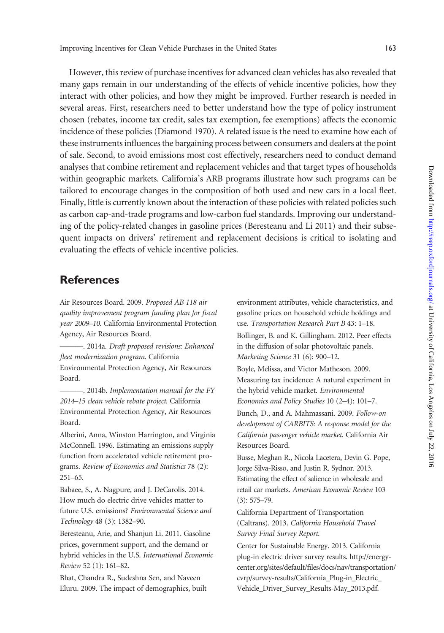<span id="page-14-0"></span>However, this review of purchase incentives for advanced clean vehicles has also revealed that many gaps remain in our understanding of the effects of vehicle incentive policies, how they interact with other policies, and how they might be improved. Further research is needed in several areas. First, researchers need to better understand how the type of policy instrument chosen (rebates, income tax credit, sales tax exemption, fee exemptions) affects the economic incidence of these policies [\(Diamond 1970](#page-15-0)). A related issue is the need to examine how each of these instruments influences the bargaining process between consumers and dealers at the point of sale. Second, to avoid emissions most cost effectively, researchers need to conduct demand analyses that combine retirement and replacement vehicles and that target types of households within geographic markets. California's ARB programs illustrate how such programs can be tailored to encourage changes in the composition of both used and new cars in a local fleet. Finally, little is currently known about the interaction of these policies with related policies such as carbon cap-and-trade programs and low-carbon fuel standards. Improving our understanding of the policy-related changes in gasoline prices (Beresteanu and Li 2011) and their subsequent impacts on drivers' retirement and replacement decisions is critical to isolating and evaluating the effects of vehicle incentive policies.

### **References**

Air Resources Board. 2009. Proposed AB 118 air quality improvement program funding plan for fiscal year 2009–10. California Environmental Protection Agency, Air Resources Board.

———. 2014a. Draft proposed revisions: Enhanced fleet modernization program. California Environmental Protection Agency, Air Resources Board.

 $-$ . 2014b. Implementation manual for the FY 2014–15 clean vehicle rebate project. California Environmental Protection Agency, Air Resources Board.

Alberini, Anna, Winston Harrington, and Virginia McConnell. 1996. Estimating an emissions supply function from accelerated vehicle retirement programs. Review of Economics and Statistics 78 (2): 251–65.

Babaee, S., A. Nagpure, and J. DeCarolis. 2014. How much do electric drive vehicles matter to future U.S. emissions? Environmental Science and Technology 48 (3): 1382–90.

Beresteanu, Arie, and Shanjun Li. 2011. Gasoline prices, government support, and the demand or hybrid vehicles in the U.S. International Economic Review 52 (1): 161–82.

Bhat, Chandra R., Sudeshna Sen, and Naveen Eluru. 2009. The impact of demographics, built environment attributes, vehicle characteristics, and gasoline prices on household vehicle holdings and use. Transportation Research Part B 43: 1–18.

Bollinger, B. and K. Gillingham. 2012. Peer effects in the diffusion of solar photovoltaic panels. Marketing Science 31 (6): 900–12.

Boyle, Melissa, and Victor Matheson. 2009. Measuring tax incidence: A natural experiment in the hybrid vehicle market. Environmental Economics and Policy Studies 10 (2–4): 101–7.

Bunch, D., and A. Mahmassani. 2009. Follow-on development of CARBITS: A response model for the California passenger vehicle market. California Air Resources Board.

Busse, Meghan R., Nicola Lacetera, Devin G. Pope, Jorge Silva-Risso, and Justin R. Sydnor. 2013. Estimating the effect of salience in wholesale and retail car markets. American Economic Review 103 (3): 575–79.

California Department of Transportation (Caltrans). 2013. California Household Travel Survey Final Survey Report.

Center for Sustainable Energy. 2013. California plug-in electric driver survey results. [http://energy](http://energycenter.org/sites/default/files/docs/nav/transportation/cvrp/survey-results/California_Plug-in_Electric_Vehicle_Driver_Survey_Results-May_2013.pdf)[center.org/sites/default/files/docs/nav/transportation/](http://energycenter.org/sites/default/files/docs/nav/transportation/cvrp/survey-results/California_Plug-in_Electric_Vehicle_Driver_Survey_Results-May_2013.pdf) [cvrp/survey-results/California\\_Plug-in\\_Electric\\_](http://energycenter.org/sites/default/files/docs/nav/transportation/cvrp/survey-results/California_Plug-in_Electric_Vehicle_Driver_Survey_Results-May_2013.pdf) [Vehicle\\_Driver\\_Survey\\_Results-May\\_2013.pdf.](http://energycenter.org/sites/default/files/docs/nav/transportation/cvrp/survey-results/California_Plug-in_Electric_Vehicle_Driver_Survey_Results-May_2013.pdf)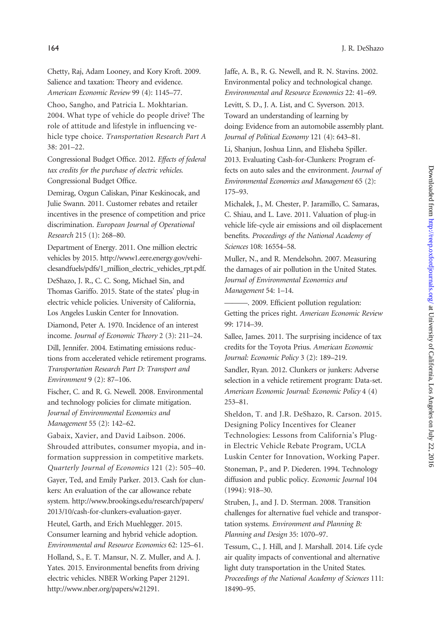<span id="page-15-0"></span>Chetty, Raj, Adam Looney, and Kory Kroft. 2009. Salience and taxation: Theory and evidence. American Economic Review 99 (4): 1145–77.

Choo, Sangho, and Patricia L. Mokhtarian. 2004. What type of vehicle do people drive? The role of attitude and lifestyle in influencing vehicle type choice. Transportation Research Part A 38: 201–22.

Congressional Budget Office. 2012. Effects of federal tax credits for the purchase of electric vehicles. Congressional Budget Office.

Demirag, Ozgun Caliskan, Pinar Keskinocak, and Julie Swann. 2011. Customer rebates and retailer incentives in the presence of competition and price discrimination. European Journal of Operational Research 215 (1): 268–80.

Department of Energy. 2011. One million electric vehicles by 2015. [http://www1.eere.energy.gov/vehi](http://www1.eere.energy.gov/vehiclesandfuels/pdfs/1_million_electric_vehicles_rpt.pdf)[clesandfuels/pdfs/1\\_million\\_electric\\_vehicles\\_rpt.pdf](http://www1.eere.energy.gov/vehiclesandfuels/pdfs/1_million_electric_vehicles_rpt.pdf).

DeShazo, J. R., C. C. Song, Michael Sin, and Thomas Gariffo. 2015. State of the states' plug-in electric vehicle policies. University of California, Los Angeles Luskin Center for Innovation.

Diamond, Peter A. 1970. Incidence of an interest income. Journal of Economic Theory 2 (3): 211–24. Dill, Jennifer. 2004. Estimating emissions reductions from accelerated vehicle retirement programs. Transportation Research Part D: Transport and Environment 9 (2): 87–106.

Fischer, C. and R. G. Newell. 2008. Environmental and technology policies for climate mitigation. Journal of Environmental Economics and Management 55 (2): 142–62.

Gabaix, Xavier, and David Laibson. 2006. Shrouded attributes, consumer myopia, and information suppression in competitive markets. Quarterly Journal of Economics 121 (2): 505–40.

Gayer, Ted, and Emily Parker. 2013. Cash for clunkers: An evaluation of the car allowance rebate system. [http://www.brookings.edu/research/papers/](http://www.brookings.edu/research/papers/2013/10/cash-for-clunkers-evaluation-gayer) [2013/10/cash-for-clunkers-evaluation-gayer](http://www.brookings.edu/research/papers/2013/10/cash-for-clunkers-evaluation-gayer).

Heutel, Garth, and Erich Muehlegger. 2015. Consumer learning and hybrid vehicle adoption. Environmental and Resource Economics 62: 125–61. Holland, S., E. T. Mansur, N. Z. Muller, and A. J. Yates. 2015. Environmental benefits from driving electric vehicles. NBER Working Paper 21291. <http://www.nber.org/papers/w21291>.

Jaffe, A. B., R. G. Newell, and R. N. Stavins. 2002. Environmental policy and technological change. Environmental and Resource Economics 22: 41–69.

Levitt, S. D., J. A. List, and C. Syverson. 2013. Toward an understanding of learning by doing: Evidence from an automobile assembly plant. Journal of Political Economy 121 (4): 643–81.

Li, Shanjun, Joshua Linn, and Elisheba Spiller. 2013. Evaluating Cash-for-Clunkers: Program effects on auto sales and the environment. Journal of Environmental Economics and Management 65 (2): 175–93.

Michalek, J., M. Chester, P. Jaramillo, C. Samaras, C. Shiau, and L. Lave. 2011. Valuation of plug-in vehicle life-cycle air emissions and oil displacement benefits. Proceedings of the National Academy of Sciences 108: 16554–58.

Muller, N., and R. Mendelsohn. 2007. Measuring the damages of air pollution in the United States. Journal of Environmental Economics and Management 54: 1–14.

———. 2009. Efficient pollution regulation: Getting the prices right. American Economic Review 99: 1714–39.

Sallee, James. 2011. The surprising incidence of tax credits for the Toyota Prius. American Economic Journal: Economic Policy 3 (2): 189–219.

Sandler, Ryan. 2012. Clunkers or junkers: Adverse selection in a vehicle retirement program: Data-set. American Economic Journal: Economic Policy 4 (4) 253–81.

Sheldon, T. and J.R. DeShazo, R. Carson. 2015. Designing Policy Incentives for Cleaner Technologies: Lessons from California's Plugin Electric Vehicle Rebate Program, UCLA Luskin Center for Innovation, Working Paper. Stoneman, P., and P. Diederen. 1994. Technology diffusion and public policy. Economic Journal 104 (1994): 918–30.

Struben, J., and J. D. Sterman. 2008. Transition challenges for alternative fuel vehicle and transportation systems. Environment and Planning B: Planning and Design 35: 1070–97.

Tessum, C., J. Hill, and J. Marshall. 2014. Life cycle air quality impacts of conventional and alternative light duty transportation in the United States. Proceedings of the National Academy of Sciences 111: 18490–95.